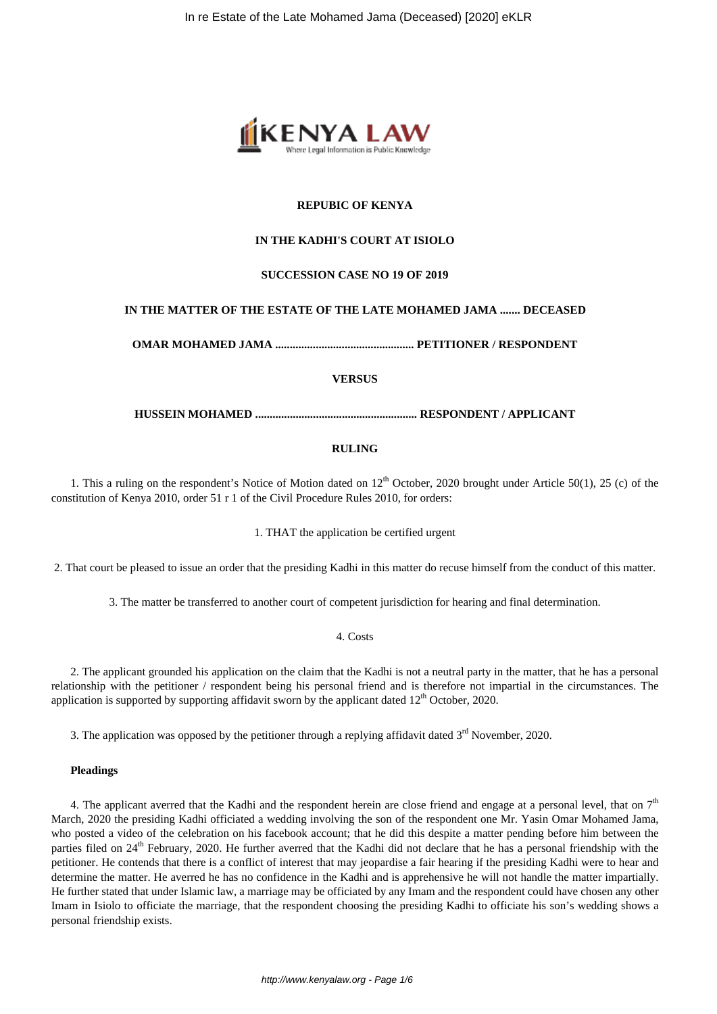

# **REPUBIC OF KENYA**

# **IN THE KADHI'S COURT AT ISIOLO**

## **SUCCESSION CASE NO 19 OF 2019**

# **IN THE MATTER OF THE ESTATE OF THE LATE MOHAMED JAMA ....... DECEASED**

**OMAR MOHAMED JAMA ................................................ PETITIONER / RESPONDENT**

**VERSUS**

**HUSSEIN MOHAMED ........................................................ RESPONDENT / APPLICANT**

## **RULING**

1. This a ruling on the respondent's Notice of Motion dated on  $12<sup>th</sup>$  October, 2020 brought under Article 50(1), 25 (c) of the constitution of Kenya 2010, order 51 r 1 of the Civil Procedure Rules 2010, for orders:

1. THAT the application be certified urgent

2. That court be pleased to issue an order that the presiding Kadhi in this matter do recuse himself from the conduct of this matter.

3. The matter be transferred to another court of competent jurisdiction for hearing and final determination.

4. Costs

2. The applicant grounded his application on the claim that the Kadhi is not a neutral party in the matter, that he has a personal relationship with the petitioner / respondent being his personal friend and is therefore not impartial in the circumstances. The application is supported by supporting affidavit sworn by the applicant dated  $12<sup>th</sup>$  October, 2020.

3. The application was opposed by the petitioner through a replying affidavit dated  $3<sup>rd</sup>$  November, 2020.

#### **Pleadings**

4. The applicant averred that the Kadhi and the respondent herein are close friend and engage at a personal level, that on  $7<sup>th</sup>$ March, 2020 the presiding Kadhi officiated a wedding involving the son of the respondent one Mr. Yasin Omar Mohamed Jama, who posted a video of the celebration on his facebook account; that he did this despite a matter pending before him between the parties filed on  $24<sup>th</sup>$  February, 2020. He further averred that the Kadhi did not declare that he has a personal friendship with the petitioner. He contends that there is a conflict of interest that may jeopardise a fair hearing if the presiding Kadhi were to hear and determine the matter. He averred he has no confidence in the Kadhi and is apprehensive he will not handle the matter impartially. He further stated that under Islamic law, a marriage may be officiated by any Imam and the respondent could have chosen any other Imam in Isiolo to officiate the marriage, that the respondent choosing the presiding Kadhi to officiate his son's wedding shows a personal friendship exists.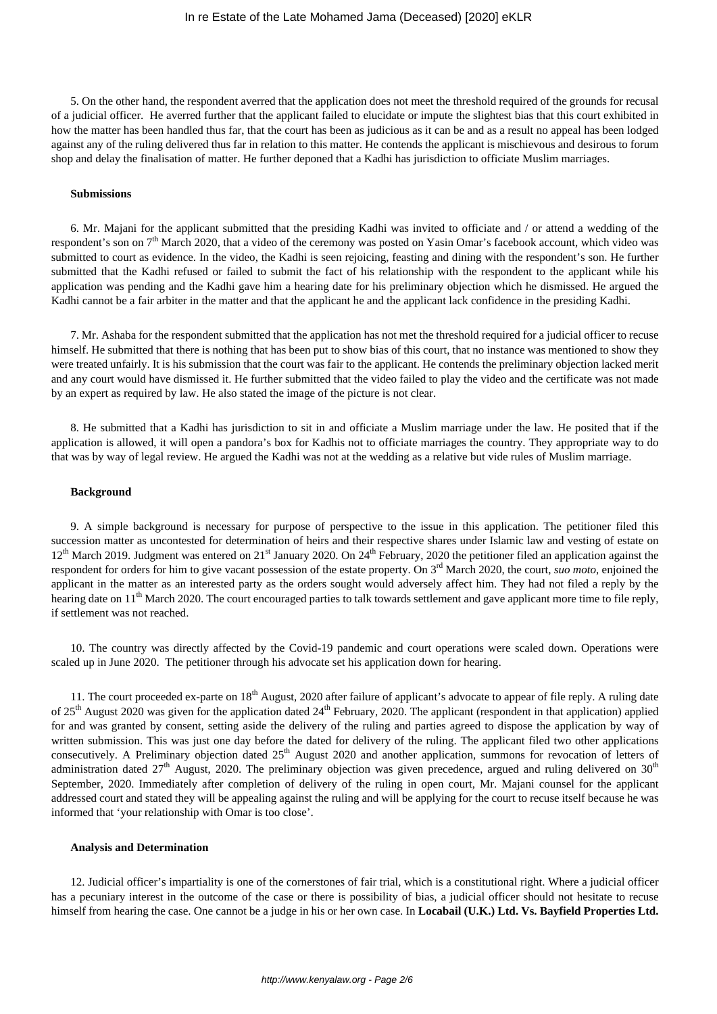5. On the other hand, the respondent averred that the application does not meet the threshold required of the grounds for recusal of a judicial officer. He averred further that the applicant failed to elucidate or impute the slightest bias that this court exhibited in how the matter has been handled thus far, that the court has been as judicious as it can be and as a result no appeal has been lodged against any of the ruling delivered thus far in relation to this matter. He contends the applicant is mischievous and desirous to forum shop and delay the finalisation of matter. He further deponed that a Kadhi has jurisdiction to officiate Muslim marriages.

#### **Submissions**

6. Mr. Majani for the applicant submitted that the presiding Kadhi was invited to officiate and / or attend a wedding of the respondent's son on  $7<sup>th</sup>$  March 2020, that a video of the ceremony was posted on Yasin Omar's facebook account, which video was submitted to court as evidence. In the video, the Kadhi is seen rejoicing, feasting and dining with the respondent's son. He further submitted that the Kadhi refused or failed to submit the fact of his relationship with the respondent to the applicant while his application was pending and the Kadhi gave him a hearing date for his preliminary objection which he dismissed. He argued the Kadhi cannot be a fair arbiter in the matter and that the applicant he and the applicant lack confidence in the presiding Kadhi.

7. Mr. Ashaba for the respondent submitted that the application has not met the threshold required for a judicial officer to recuse himself. He submitted that there is nothing that has been put to show bias of this court, that no instance was mentioned to show they were treated unfairly. It is his submission that the court was fair to the applicant. He contends the preliminary objection lacked merit and any court would have dismissed it. He further submitted that the video failed to play the video and the certificate was not made by an expert as required by law. He also stated the image of the picture is not clear.

8. He submitted that a Kadhi has jurisdiction to sit in and officiate a Muslim marriage under the law. He posited that if the application is allowed, it will open a pandora's box for Kadhis not to officiate marriages the country. They appropriate way to do that was by way of legal review. He argued the Kadhi was not at the wedding as a relative but vide rules of Muslim marriage.

## **Background**

9. A simple background is necessary for purpose of perspective to the issue in this application. The petitioner filed this succession matter as uncontested for determination of heirs and their respective shares under Islamic law and vesting of estate on 12<sup>th</sup> March 2019. Judgment was entered on 21<sup>st</sup> January 2020. On 24<sup>th</sup> February, 2020 the petitioner filed an application against the respondent for orders for him to give vacant possession of the estate property. On 3rd March 2020, the court, *suo moto*, enjoined the applicant in the matter as an interested party as the orders sought would adversely affect him. They had not filed a reply by the hearing date on  $11<sup>th</sup>$  March 2020. The court encouraged parties to talk towards settlement and gave applicant more time to file reply, if settlement was not reached.

10. The country was directly affected by the Covid-19 pandemic and court operations were scaled down. Operations were scaled up in June 2020. The petitioner through his advocate set his application down for hearing.

11. The court proceeded ex-parte on  $18<sup>th</sup>$  August, 2020 after failure of applicant's advocate to appear of file reply. A ruling date of  $25<sup>th</sup>$  August 2020 was given for the application dated  $24<sup>th</sup>$  February, 2020. The applicant (respondent in that application) applied for and was granted by consent, setting aside the delivery of the ruling and parties agreed to dispose the application by way of written submission. This was just one day before the dated for delivery of the ruling. The applicant filed two other applications consecutively. A Preliminary objection dated  $25<sup>th</sup>$  August 2020 and another application, summons for revocation of letters of administration dated  $27<sup>th</sup>$  August, 2020. The preliminary objection was given precedence, argued and ruling delivered on  $30<sup>th</sup>$ September, 2020. Immediately after completion of delivery of the ruling in open court, Mr. Majani counsel for the applicant addressed court and stated they will be appealing against the ruling and will be applying for the court to recuse itself because he was informed that 'your relationship with Omar is too close'.

## **Analysis and Determination**

12. Judicial officer's impartiality is one of the cornerstones of fair trial, which is a constitutional right. Where a judicial officer has a pecuniary interest in the outcome of the case or there is possibility of bias, a judicial officer should not hesitate to recuse himself from hearing the case. One cannot be a judge in his or her own case. In **Locabail (U.K.) Ltd. Vs. Bayfield Properties Ltd.**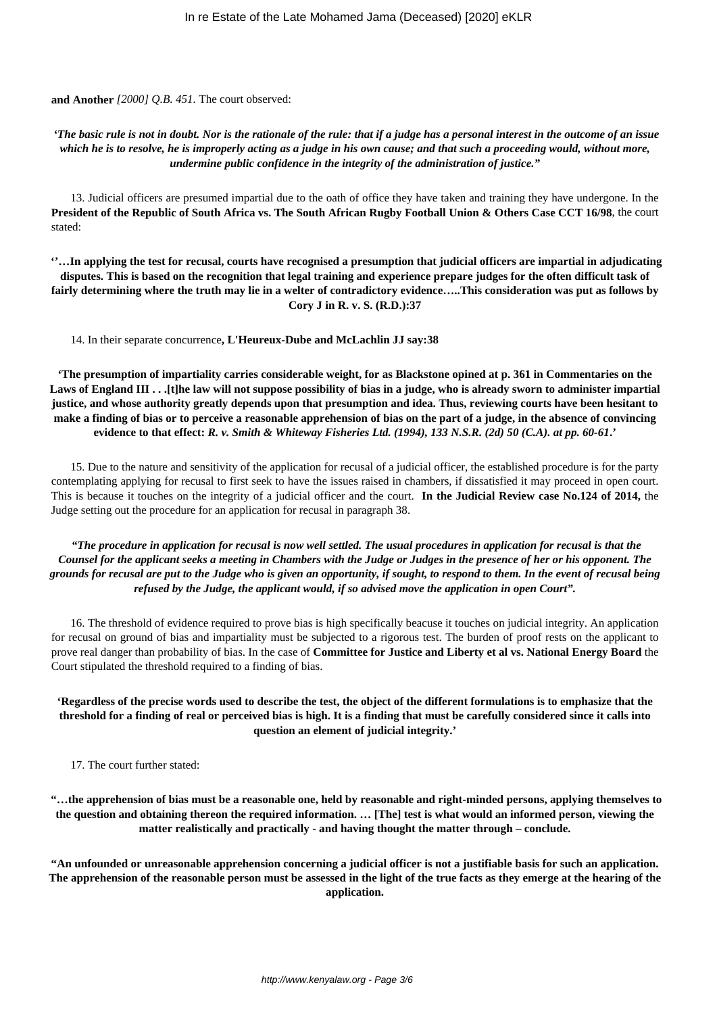**and Another** *[2000] Q.B. 451.* The court observed:

## *'The basic rule is not in doubt. Nor is the rationale of the rule: that if a judge has a personal interest in the outcome of an issue which he is to resolve, he is improperly acting as a judge in his own cause; and that such a proceeding would, without more, undermine public confidence in the integrity of the administration of justice."*

13. Judicial officers are presumed impartial due to the oath of office they have taken and training they have undergone. In the **President of the Republic of South Africa vs. The South African Rugby Football Union & Others Case CCT 16/98**, the court stated:

**''…In applying the test for recusal, courts have recognised a presumption that judicial officers are impartial in adjudicating disputes. This is based on the recognition that legal training and experience prepare judges for the often difficult task of fairly determining where the truth may lie in a welter of contradictory evidence…..This consideration was put as follows by Cory J in R. v. S. (R.D.):37**

14. In their separate concurrence**, L'Heureux-Dube and McLachlin JJ say:38**

**'The presumption of impartiality carries considerable weight, for as Blackstone opined at p. 361 in Commentaries on the Laws of England III . . .[t]he law will not suppose possibility of bias in a judge, who is already sworn to administer impartial justice, and whose authority greatly depends upon that presumption and idea. Thus, reviewing courts have been hesitant to make a finding of bias or to perceive a reasonable apprehension of bias on the part of a judge, in the absence of convincing evidence to that effect:** *R. v. Smith & Whiteway Fisheries Ltd. (1994), 133 N.S.R. (2d) 50 (C.A). at pp. 60-61***.'**

15. Due to the nature and sensitivity of the application for recusal of a judicial officer, the established procedure is for the party contemplating applying for recusal to first seek to have the issues raised in chambers, if dissatisfied it may proceed in open court. This is because it touches on the integrity of a judicial officer and the court. **In the Judicial Review case No.124 of 2014,** the Judge setting out the procedure for an application for recusal in paragraph 38.

*"The procedure in application for recusal is now well settled. The usual procedures in application for recusal is that the Counsel for the applicant seeks a meeting in Chambers with the Judge or Judges in the presence of her or his opponent. The grounds for recusal are put to the Judge who is given an opportunity, if sought, to respond to them. In the event of recusal being refused by the Judge, the applicant would, if so advised move the application in open Court".*

16. The threshold of evidence required to prove bias is high specifically beacuse it touches on judicial integrity. An application for recusal on ground of bias and impartiality must be subjected to a rigorous test. The burden of proof rests on the applicant to prove real danger than probability of bias. In the case of **Committee for Justice and Liberty et al vs. National Energy Board** the Court stipulated the threshold required to a finding of bias.

**'Regardless of the precise words used to describe the test, the object of the different formulations is to emphasize that the threshold for a finding of real or perceived bias is high. It is a finding that must be carefully considered since it calls into question an element of judicial integrity.'**

17. The court further stated:

**"…the apprehension of bias must be a reasonable one, held by reasonable and right-minded persons, applying themselves to the question and obtaining thereon the required information. … [The] test is what would an informed person, viewing the matter realistically and practically - and having thought the matter through – conclude.**

**"An unfounded or unreasonable apprehension concerning a judicial officer is not a justifiable basis for such an application. The apprehension of the reasonable person must be assessed in the light of the true facts as they emerge at the hearing of the application.**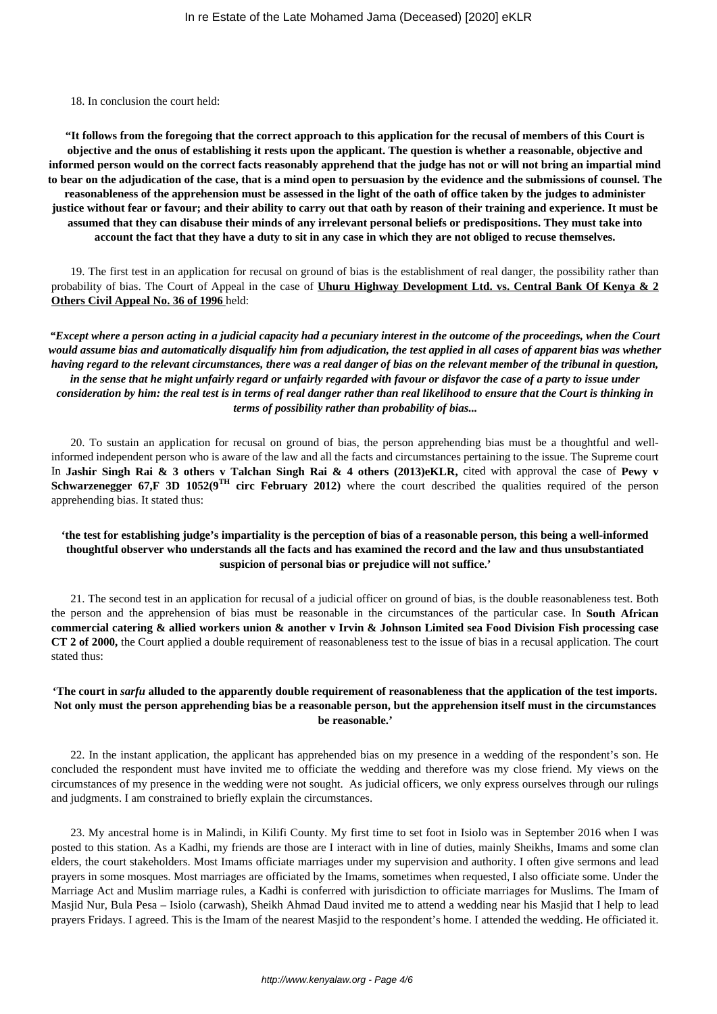18. In conclusion the court held:

**"It follows from the foregoing that the correct approach to this application for the recusal of members of this Court is objective and the onus of establishing it rests upon the applicant. The question is whether a reasonable, objective and informed person would on the correct facts reasonably apprehend that the judge has not or will not bring an impartial mind to bear on the adjudication of the case, that is a mind open to persuasion by the evidence and the submissions of counsel. The reasonableness of the apprehension must be assessed in the light of the oath of office taken by the judges to administer justice without fear or favour; and their ability to carry out that oath by reason of their training and experience. It must be assumed that they can disabuse their minds of any irrelevant personal beliefs or predispositions. They must take into account the fact that they have a duty to sit in any case in which they are not obliged to recuse themselves.**

19. The first test in an application for recusal on ground of bias is the establishment of real danger, the possibility rather than probability of bias. The Court of Appeal in the case of **Uhuru Highway Development Ltd. vs. Central Bank Of Kenya & 2 Others Civil Appeal No. 36 of 1996** held:

*"Except where a person acting in a judicial capacity had a pecuniary interest in the outcome of the proceedings, when the Court would assume bias and automatically disqualify him from adjudication, the test applied in all cases of apparent bias was whether having regard to the relevant circumstances, there was a real danger of bias on the relevant member of the tribunal in question, in the sense that he might unfairly regard or unfairly regarded with favour or disfavor the case of a party to issue under consideration by him: the real test is in terms of real danger rather than real likelihood to ensure that the Court is thinking in terms of possibility rather than probability of bias...*

20. To sustain an application for recusal on ground of bias, the person apprehending bias must be a thoughtful and wellinformed independent person who is aware of the law and all the facts and circumstances pertaining to the issue. The Supreme court In **Jashir Singh Rai & 3 others v Talchan Singh Rai & 4 others (2013)eKLR,** cited with approval the case of **Pewy v Schwarzenegger 67,F 3D 1052(9<sup>TH</sup> circ February 2012)** where the court described the qualities required of the person apprehending bias. It stated thus:

# **'the test for establishing judge's impartiality is the perception of bias of a reasonable person, this being a well-informed thoughtful observer who understands all the facts and has examined the record and the law and thus unsubstantiated suspicion of personal bias or prejudice will not suffice.'**

21. The second test in an application for recusal of a judicial officer on ground of bias, is the double reasonableness test. Both the person and the apprehension of bias must be reasonable in the circumstances of the particular case. In **South African commercial catering & allied workers union & another v Irvin & Johnson Limited sea Food Division Fish processing case CT 2 of 2000,** the Court applied a double requirement of reasonableness test to the issue of bias in a recusal application. The court stated thus:

## **'The court in** *sarfu* **alluded to the apparently double requirement of reasonableness that the application of the test imports. Not only must the person apprehending bias be a reasonable person, but the apprehension itself must in the circumstances be reasonable.'**

22. In the instant application, the applicant has apprehended bias on my presence in a wedding of the respondent's son. He concluded the respondent must have invited me to officiate the wedding and therefore was my close friend. My views on the circumstances of my presence in the wedding were not sought. As judicial officers, we only express ourselves through our rulings and judgments. I am constrained to briefly explain the circumstances.

23. My ancestral home is in Malindi, in Kilifi County. My first time to set foot in Isiolo was in September 2016 when I was posted to this station. As a Kadhi, my friends are those are I interact with in line of duties, mainly Sheikhs, Imams and some clan elders, the court stakeholders. Most Imams officiate marriages under my supervision and authority. I often give sermons and lead prayers in some mosques. Most marriages are officiated by the Imams, sometimes when requested, I also officiate some. Under the Marriage Act and Muslim marriage rules, a Kadhi is conferred with jurisdiction to officiate marriages for Muslims. The Imam of Masjid Nur, Bula Pesa – Isiolo (carwash), Sheikh Ahmad Daud invited me to attend a wedding near his Masjid that I help to lead prayers Fridays. I agreed. This is the Imam of the nearest Masjid to the respondent's home. I attended the wedding. He officiated it.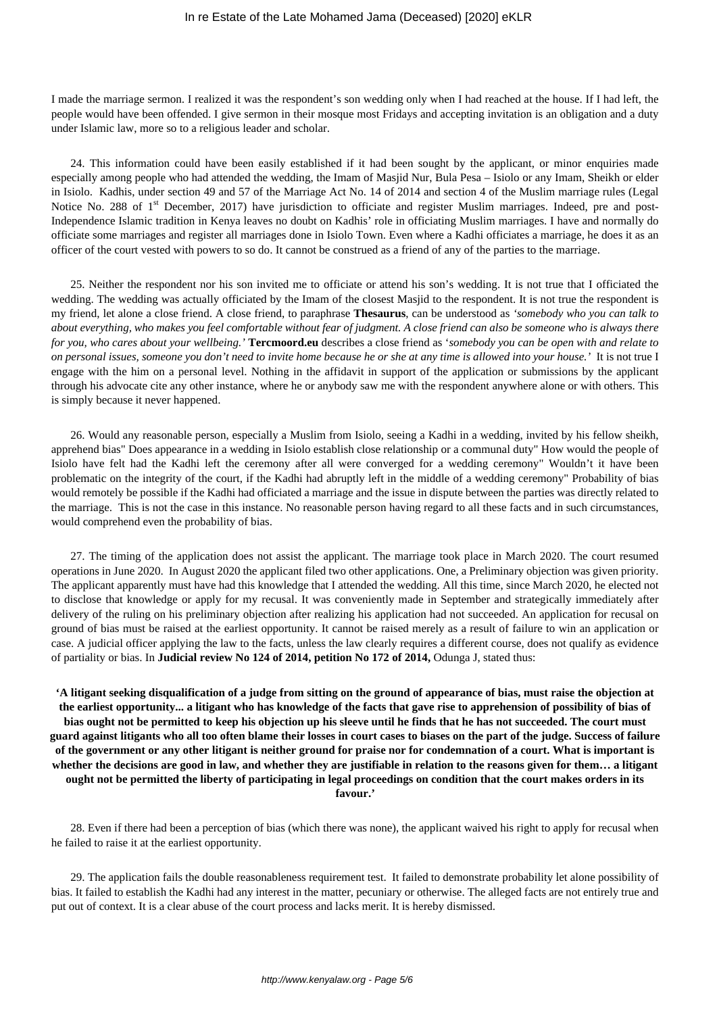I made the marriage sermon. I realized it was the respondent's son wedding only when I had reached at the house. If I had left, the people would have been offended. I give sermon in their mosque most Fridays and accepting invitation is an obligation and a duty under Islamic law, more so to a religious leader and scholar.

24. This information could have been easily established if it had been sought by the applicant, or minor enquiries made especially among people who had attended the wedding, the Imam of Masjid Nur, Bula Pesa – Isiolo or any Imam, Sheikh or elder in Isiolo. Kadhis, under section 49 and 57 of the Marriage Act No. 14 of 2014 and section 4 of the Muslim marriage rules (Legal Notice No. 288 of 1<sup>st</sup> December, 2017) have jurisdiction to officiate and register Muslim marriages. Indeed, pre and post-Independence Islamic tradition in Kenya leaves no doubt on Kadhis' role in officiating Muslim marriages. I have and normally do officiate some marriages and register all marriages done in Isiolo Town. Even where a Kadhi officiates a marriage, he does it as an officer of the court vested with powers to so do. It cannot be construed as a friend of any of the parties to the marriage.

25. Neither the respondent nor his son invited me to officiate or attend his son's wedding. It is not true that I officiated the wedding. The wedding was actually officiated by the Imam of the closest Masjid to the respondent. It is not true the respondent is my friend, let alone a close friend. A close friend, to paraphrase **Thesaurus**, can be understood as *'somebody who you can talk to about everything, who makes you feel comfortable without fear of judgment. A close friend can also be someone who is always there for you, who cares about your wellbeing.'* **Tercmoord.eu** describes a close friend as '*somebody you can be open with and relate to on personal issues, someone you don't need to invite home because he or she at any time is allowed into your house.'* It is not true I engage with the him on a personal level. Nothing in the affidavit in support of the application or submissions by the applicant through his advocate cite any other instance, where he or anybody saw me with the respondent anywhere alone or with others. This is simply because it never happened.

26. Would any reasonable person, especially a Muslim from Isiolo, seeing a Kadhi in a wedding, invited by his fellow sheikh, apprehend bias" Does appearance in a wedding in Isiolo establish close relationship or a communal duty" How would the people of Isiolo have felt had the Kadhi left the ceremony after all were converged for a wedding ceremony" Wouldn't it have been problematic on the integrity of the court, if the Kadhi had abruptly left in the middle of a wedding ceremony" Probability of bias would remotely be possible if the Kadhi had officiated a marriage and the issue in dispute between the parties was directly related to the marriage. This is not the case in this instance. No reasonable person having regard to all these facts and in such circumstances, would comprehend even the probability of bias.

27. The timing of the application does not assist the applicant. The marriage took place in March 2020. The court resumed operations in June 2020. In August 2020 the applicant filed two other applications. One, a Preliminary objection was given priority. The applicant apparently must have had this knowledge that I attended the wedding. All this time, since March 2020, he elected not to disclose that knowledge or apply for my recusal. It was conveniently made in September and strategically immediately after delivery of the ruling on his preliminary objection after realizing his application had not succeeded. An application for recusal on ground of bias must be raised at the earliest opportunity. It cannot be raised merely as a result of failure to win an application or case. A judicial officer applying the law to the facts, unless the law clearly requires a different course, does not qualify as evidence of partiality or bias. In **Judicial review No 124 of 2014, petition No 172 of 2014,** Odunga J, stated thus:

**'A litigant seeking disqualification of a judge from sitting on the ground of appearance of bias, must raise the objection at the earliest opportunity... a litigant who has knowledge of the facts that gave rise to apprehension of possibility of bias of bias ought not be permitted to keep his objection up his sleeve until he finds that he has not succeeded. The court must guard against litigants who all too often blame their losses in court cases to biases on the part of the judge. Success of failure of the government or any other litigant is neither ground for praise nor for condemnation of a court. What is important is whether the decisions are good in law, and whether they are justifiable in relation to the reasons given for them… a litigant ought not be permitted the liberty of participating in legal proceedings on condition that the court makes orders in its favour.'**

28. Even if there had been a perception of bias (which there was none), the applicant waived his right to apply for recusal when he failed to raise it at the earliest opportunity.

29. The application fails the double reasonableness requirement test. It failed to demonstrate probability let alone possibility of bias. It failed to establish the Kadhi had any interest in the matter, pecuniary or otherwise. The alleged facts are not entirely true and put out of context. It is a clear abuse of the court process and lacks merit. It is hereby dismissed.